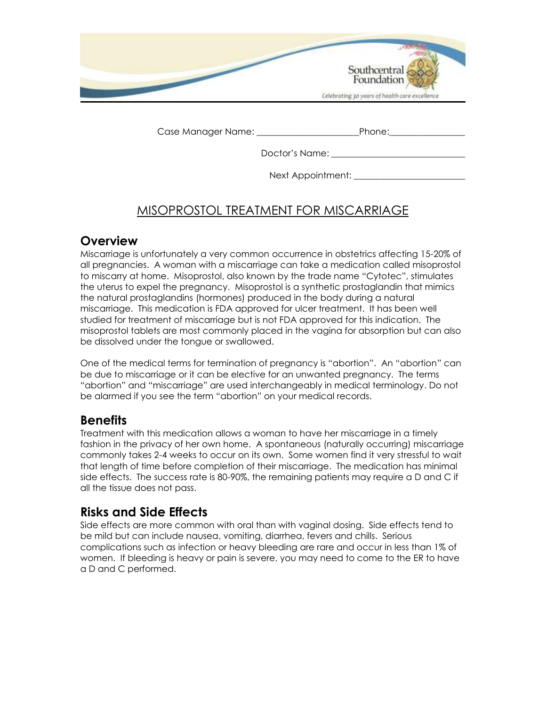| Southcentral                                   |
|------------------------------------------------|
| Celebrating 30 years of health care excellence |

Case Manager Name: \_\_\_\_\_\_\_\_\_\_\_\_\_\_\_\_\_\_\_\_\_\_\_Phone:\_\_\_\_\_\_\_\_\_\_\_\_\_\_\_\_\_

Doctor's Name: \_\_\_\_\_\_\_\_\_\_\_\_\_\_\_\_\_\_\_\_\_\_\_\_\_\_\_\_\_\_

Next Appointment:

# MISOPROSTOL TREATMENT FOR MISCARRIAGE

#### **Overview**

Miscarriage is unfortunately a very common occurrence in obstetrics affecting 15-20% of all pregnancies. A woman with a miscarriage can take a medication called misoprostol to miscarry at home. Misoprostol, also known by the trade name "Cytotec", stimulates the uterus to expel the pregnancy. Misoprostol is a synthetic prostaglandin that mimics the natural prostaglandins (hormones) produced in the body during a natural miscarriage. This medication is FDA approved for ulcer treatment. It has been well studied for treatment of miscarriage but is not FDA approved for this indication. The misoprostol tablets are most commonly placed in the vagina for absorption but can also be dissolved under the tongue or swallowed.

One of the medical terms for termination of pregnancy is "abortion". An "abortion" can be due to miscarriage or it can be elective for an unwanted pregnancy. The terms "abortion" and "miscarriage" are used interchangeably in medical terminology. Do not be alarmed if you see the term "abortion" on your medical records.

### **Benefits**

Treatment with this medication allows a woman to have her miscarriage in a timely fashion in the privacy of her own home. A spontaneous (naturally occurring) miscarriage commonly takes 2-4 weeks to occur on its own. Some women find it very stressful to wait that length of time before completion of their miscarriage. The medication has minimal side effects. The success rate is 80-90%, the remaining patients may require a D and C if all the tissue does not pass.

### **Risks and Side Effects**

Side effects are more common with oral than with vaginal dosing. Side effects tend to be mild but can include nausea, vomiting, diarrhea, fevers and chills. Serious complications such as infection or heavy bleeding are rare and occur in less than 1% of women. If bleeding is heavy or pain is severe, you may need to come to the ER to have a D and C performed.